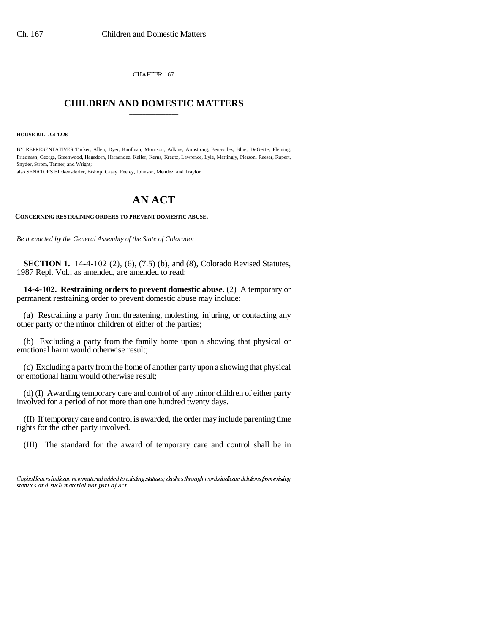CHAPTER 167

## \_\_\_\_\_\_\_\_\_\_\_\_\_\_\_ **CHILDREN AND DOMESTIC MATTERS** \_\_\_\_\_\_\_\_\_\_\_\_\_\_\_

**HOUSE BILL 94-1226**

BY REPRESENTATIVES Tucker, Allen, Dyer, Kaufman, Morrison, Adkins, Armstrong, Benavidez, Blue, DeGette, Fleming, Friednash, George, Greenwood, Hagedorn, Hernandez, Keller, Kerns, Kreutz, Lawrence, Lyle, Mattingly, Pierson, Reeser, Rupert, Snyder, Strom, Tanner, and Wright;

also SENATORS Blickensderfer, Bishop, Casey, Feeley, Johnson, Mendez, and Traylor.

## **AN ACT**

**CONCERNING RESTRAINING ORDERS TO PREVENT DOMESTIC ABUSE.**

*Be it enacted by the General Assembly of the State of Colorado:*

**SECTION 1.** 14-4-102 (2), (6), (7.5) (b), and (8), Colorado Revised Statutes, 1987 Repl. Vol., as amended, are amended to read:

**14-4-102. Restraining orders to prevent domestic abuse.** (2) A temporary or permanent restraining order to prevent domestic abuse may include:

(a) Restraining a party from threatening, molesting, injuring, or contacting any other party or the minor children of either of the parties;

(b) Excluding a party from the family home upon a showing that physical or emotional harm would otherwise result;

(c) Excluding a party from the home of another party upon a showing that physical or emotional harm would otherwise result;

(d) (I) Awarding temporary care and control of any minor children of either party involved for a period of not more than one hundred twenty days.

(II) If temporary care and control is awarded, the order may include parenting time rights for the other party involved.

(III) The standard for the award of temporary care and control shall be in

Capital letters indicate new material added to existing statutes; dashes through words indicate deletions from existing statutes and such material not part of act.